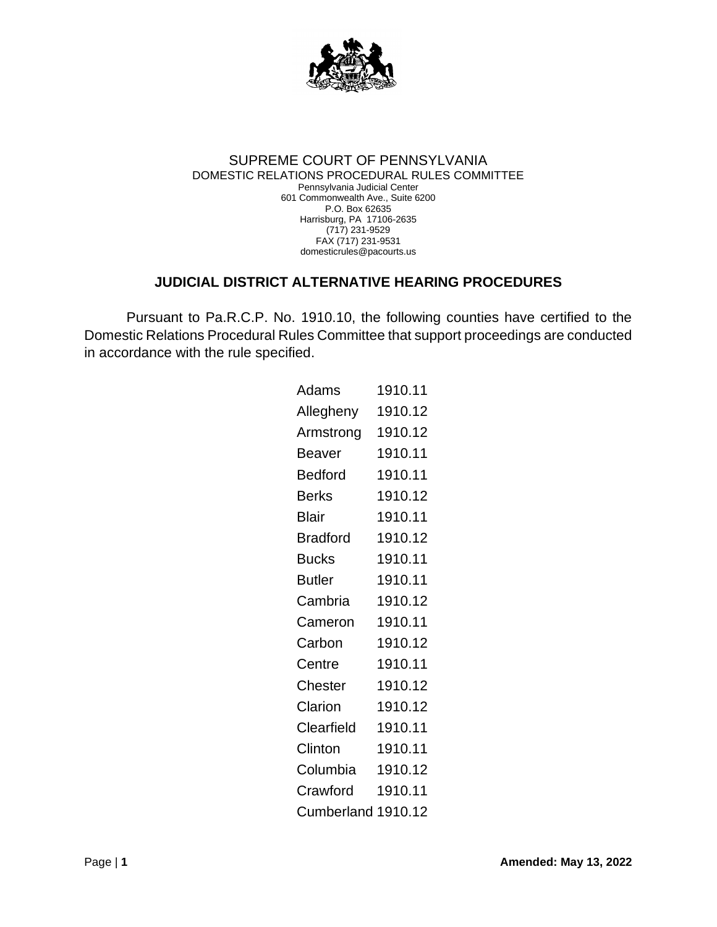

## SUPREME COURT OF PENNSYLVANIA DOMESTIC RELATIONS PROCEDURAL RULES COMMITTEE Pennsylvania Judicial Center 601 Commonwealth Ave., Suite 6200 P.O. Box 62635 Harrisburg, PA 17106-2635 (717) 231-9529 FAX (717) 231-9531 domesticrules@pacourts.us

## **JUDICIAL DISTRICT ALTERNATIVE HEARING PROCEDURES**

Pursuant to Pa.R.C.P. No. 1910.10, the following counties have certified to the Domestic Relations Procedural Rules Committee that support proceedings are conducted in accordance with the rule specified.

| Adams              | 1910.11 |
|--------------------|---------|
| Allegheny          | 1910.12 |
| Armstrong          | 1910.12 |
| Beaver             | 1910.11 |
| Bedford            | 1910.11 |
| Berks              | 1910.12 |
| Blair              | 1910.11 |
| <b>Bradford</b>    | 1910.12 |
| <b>Bucks</b>       | 1910.11 |
| Butler             | 1910.11 |
| Cambria            | 1910.12 |
| Cameron            | 1910.11 |
| Carbon             | 1910.12 |
| Centre             | 1910.11 |
| Chester            | 1910.12 |
| Clarion            | 1910.12 |
| Clearfield         | 1910.11 |
| Clinton            | 1910.11 |
| Columbia           | 1910.12 |
| Crawford           | 1910.11 |
| Cumberland 1910.12 |         |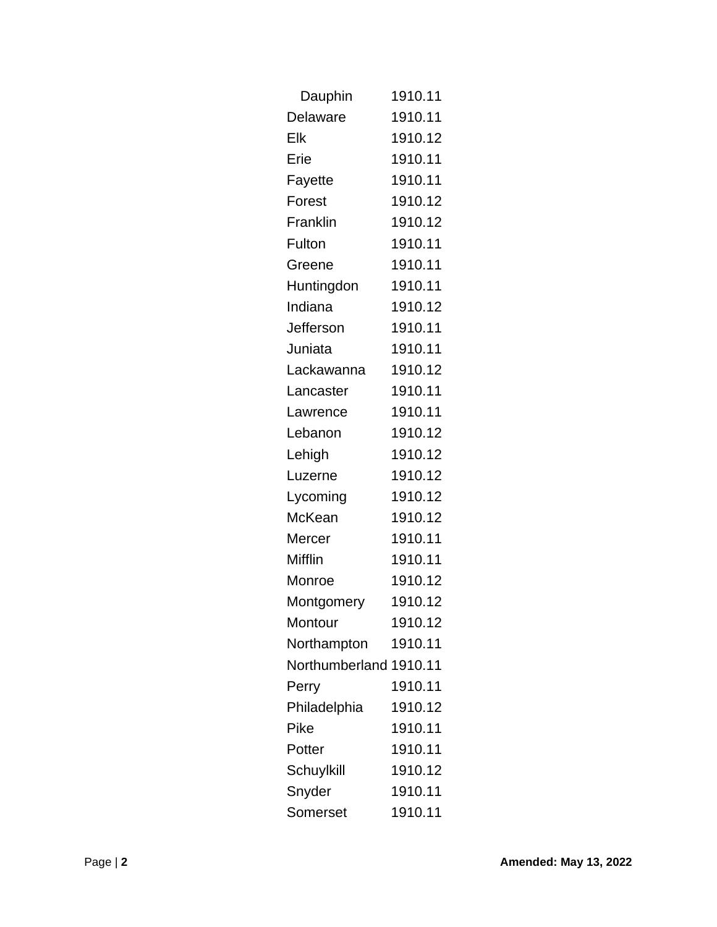| Dauphin                | 1910.11 |
|------------------------|---------|
| <b>Delaware</b>        | 1910.11 |
| Elk                    | 1910.12 |
| Erie                   | 1910.11 |
| Fayette                | 1910.11 |
| Forest                 | 1910.12 |
| Franklin               | 1910.12 |
| Fulton                 | 1910.11 |
| Greene                 | 1910.11 |
| Huntingdon             | 1910.11 |
| Indiana                | 1910.12 |
| Jefferson              | 1910.11 |
| Juniata                | 1910.11 |
| Lackawanna             | 1910.12 |
| Lancaster              | 1910.11 |
| Lawrence               | 1910.11 |
| Lebanon                | 1910.12 |
| Lehigh                 | 1910.12 |
| Luzerne                | 1910.12 |
| Lycoming               | 1910.12 |
| McKean                 | 1910.12 |
| Mercer                 | 1910.11 |
| Mifflin                | 1910.11 |
| Monroe                 | 1910.12 |
| Montgomery             | 1910.12 |
| Montour                | 1910.12 |
| Northampton            | 1910.11 |
| Northumberland 1910.11 |         |
| Perry                  | 1910.11 |
| Philadelphia           | 1910.12 |
| Pike                   | 1910.11 |
| Potter                 | 1910.11 |
| Schuylkill             | 1910.12 |
| Snyder                 | 1910.11 |
| Somerset               | 1910.11 |